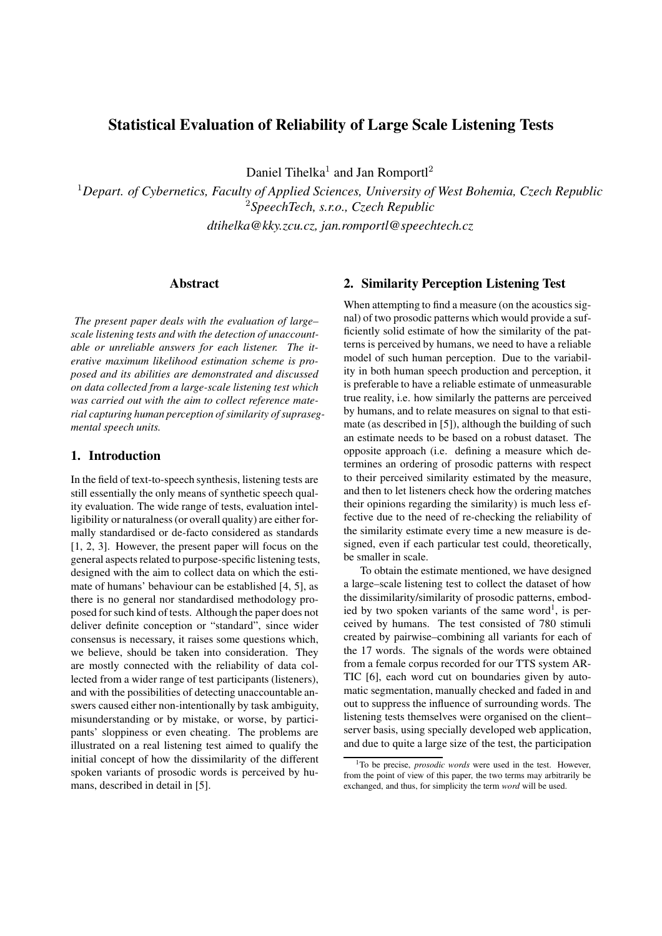# **Statistical Evaluation of Reliability of Large Scale Listening Tests**

Daniel Tihelka<sup>1</sup> and Jan Romportl<sup>2</sup>

<sup>1</sup>*Depart. of Cybernetics, Faculty of Applied Sciences, University of West Bohemia, Czech Republic* <sup>2</sup>*SpeechTech, s.r.o., Czech Republic*

*dtihelka@kky.zcu.cz, jan.romportl@speechtech.cz*

### **Abstract**

*The present paper deals with the evaluation of large– scale listening tests and with the detection of unaccountable or unreliable answers for each listener. The iterative maximum likelihood estimation scheme is proposed and its abilities are demonstrated and discussed on data collected from a large-scale listening test which was carried out with the aim to collect reference material capturing human perception of similarity of suprasegmental speech units.*

## **1. Introduction**

In the field of text-to-speech synthesis, listening tests are still essentially the only means of synthetic speech quality evaluation. The wide range of tests, evaluation intelligibility or naturalness (or overall quality) are either formally standardised or de-facto considered as standards [1, 2, 3]. However, the present paper will focus on the general aspects related to purpose-specific listening tests, designed with the aim to collect data on which the estimate of humans' behaviour can be established [4, 5], as there is no general nor standardised methodology proposed for such kind of tests. Although the paper does not deliver definite conception or "standard", since wider consensus is necessary, it raises some questions which, we believe, should be taken into consideration. They are mostly connected with the reliability of data collected from a wider range of test participants (listeners), and with the possibilities of detecting unaccountable answers caused either non-intentionally by task ambiguity, misunderstanding or by mistake, or worse, by participants' sloppiness or even cheating. The problems are illustrated on a real listening test aimed to qualify the initial concept of how the dissimilarity of the different spoken variants of prosodic words is perceived by humans, described in detail in [5].

## **2. Similarity Perception Listening Test**

When attempting to find a measure (on the acoustics signal) of two prosodic patterns which would provide a sufficiently solid estimate of how the similarity of the patterns is perceived by humans, we need to have a reliable model of such human perception. Due to the variability in both human speech production and perception, it is preferable to have a reliable estimate of unmeasurable true reality, i.e. how similarly the patterns are perceived by humans, and to relate measures on signal to that estimate (as described in [5]), although the building of such an estimate needs to be based on a robust dataset. The opposite approach (i.e. defining a measure which determines an ordering of prosodic patterns with respect to their perceived similarity estimated by the measure, and then to let listeners check how the ordering matches their opinions regarding the similarity) is much less effective due to the need of re-checking the reliability of the similarity estimate every time a new measure is designed, even if each particular test could, theoretically, be smaller in scale.

To obtain the estimate mentioned, we have designed a large–scale listening test to collect the dataset of how the dissimilarity/similarity of prosodic patterns, embodied by two spoken variants of the same word<sup>1</sup>, is perceived by humans. The test consisted of 780 stimuli created by pairwise–combining all variants for each of the 17 words. The signals of the words were obtained from a female corpus recorded for our TTS system AR-TIC [6], each word cut on boundaries given by automatic segmentation, manually checked and faded in and out to suppress the influence of surrounding words. The listening tests themselves were organised on the client– server basis, using specially developed web application, and due to quite a large size of the test, the participation

<sup>&</sup>lt;sup>1</sup>To be precise, *prosodic words* were used in the test. However, from the point of view of this paper, the two terms may arbitrarily be exchanged, and thus, for simplicity the term *word* will be used.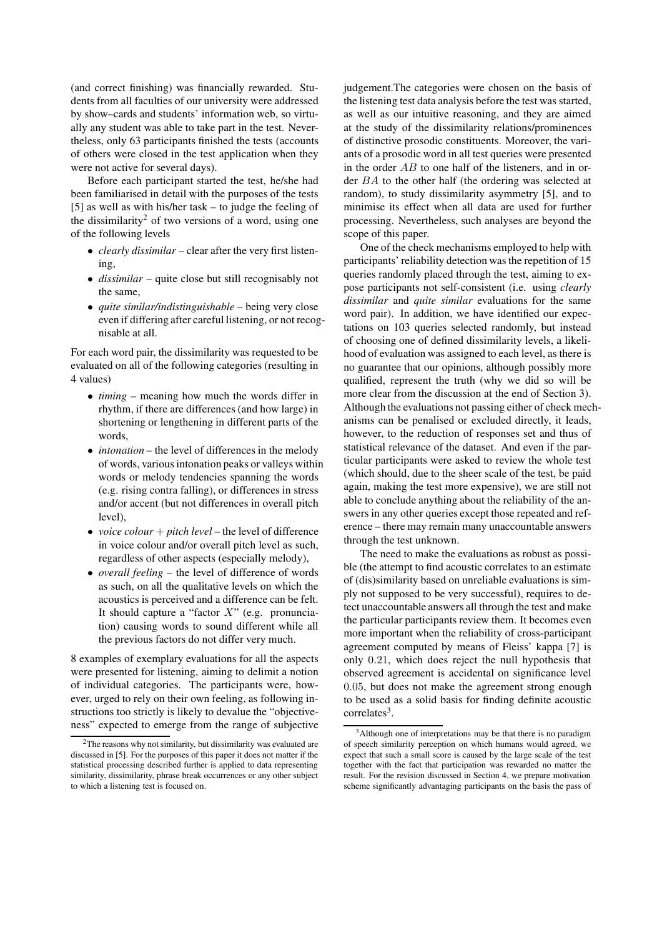(and correct finishing) was financially rewarded. Students from all faculties of our university were addressed by show–cards and students' information web, so virtually any student was able to take part in the test. Nevertheless, only 63 participants finished the tests (accounts of others were closed in the test application when they were not active for several days).

Before each participant started the test, he/she had been familiarised in detail with the purposes of the tests [5] as well as with his/her task – to judge the feeling of the dissimilarity<sup>2</sup> of two versions of a word, using one of the following levels

- *clearly dissimilar* clear after the very first listening,
- *dissimilar* quite close but still recognisably not the same,
- *quite similar/indistinguishable* being very close even if differing after careful listening, or not recognisable at all.

For each word pair, the dissimilarity was requested to be evaluated on all of the following categories (resulting in 4 values)

- *timing* meaning how much the words differ in rhythm, if there are differences (and how large) in shortening or lengthening in different parts of the words,
- *intonation* the level of differences in the melody of words, various intonation peaks or valleys within words or melody tendencies spanning the words (e.g. rising contra falling), or differences in stress and/or accent (but not differences in overall pitch level),
- *voice colour* + *pitch level* the level of difference in voice colour and/or overall pitch level as such, regardless of other aspects (especially melody),
- *overall feeling* the level of difference of words as such, on all the qualitative levels on which the acoustics is perceived and a difference can be felt. It should capture a "factor  $X$ " (e.g. pronunciation) causing words to sound different while all the previous factors do not differ very much.

8 examples of exemplary evaluations for all the aspects were presented for listening, aiming to delimit a notion of individual categories. The participants were, however, urged to rely on their own feeling, as following instructions too strictly is likely to devalue the "objectiveness" expected to emerge from the range of subjective judgement.The categories were chosen on the basis of the listening test data analysis before the test was started, as well as our intuitive reasoning, and they are aimed at the study of the dissimilarity relations/prominences of distinctive prosodic constituents. Moreover, the variants of a prosodic word in all test queries were presented in the order  $AB$  to one half of the listeners, and in order BA to the other half (the ordering was selected at random), to study dissimilarity asymmetry [5], and to minimise its effect when all data are used for further processing. Nevertheless, such analyses are beyond the scope of this paper.

One of the check mechanisms employed to help with participants' reliability detection was the repetition of 15 queries randomly placed through the test, aiming to expose participants not self-consistent (i.e. using *clearly dissimilar* and *quite similar* evaluations for the same word pair). In addition, we have identified our expectations on 103 queries selected randomly, but instead of choosing one of defined dissimilarity levels, a likelihood of evaluation was assigned to each level, as there is no guarantee that our opinions, although possibly more qualified, represent the truth (why we did so will be more clear from the discussion at the end of Section 3). Although the evaluations not passing either of check mechanisms can be penalised or excluded directly, it leads, however, to the reduction of responses set and thus of statistical relevance of the dataset. And even if the particular participants were asked to review the whole test (which should, due to the sheer scale of the test, be paid again, making the test more expensive), we are still not able to conclude anything about the reliability of the answers in any other queries except those repeated and reference – there may remain many unaccountable answers through the test unknown.

The need to make the evaluations as robust as possible (the attempt to find acoustic correlates to an estimate of (dis)similarity based on unreliable evaluations is simply not supposed to be very successful), requires to detect unaccountable answers all through the test and make the particular participants review them. It becomes even more important when the reliability of cross-participant agreement computed by means of Fleiss' kappa [7] is only 0.21, which does reject the null hypothesis that observed agreement is accidental on significance level 0.05, but does not make the agreement strong enough to be used as a solid basis for finding definite acoustic correlates<sup>3</sup>.

 $2$ The reasons why not similarity, but dissimilarity was evaluated are discussed in [5]. For the purposes of this paper it does not matter if the statistical processing described further is applied to data representing similarity, dissimilarity, phrase break occurrences or any other subject to which a listening test is focused on.

<sup>&</sup>lt;sup>3</sup>Although one of interpretations may be that there is no paradigm of speech similarity perception on which humans would agreed, we expect that such a small score is caused by the large scale of the test together with the fact that participation was rewarded no matter the result. For the revision discussed in Section 4, we prepare motivation scheme significantly advantaging participants on the basis the pass of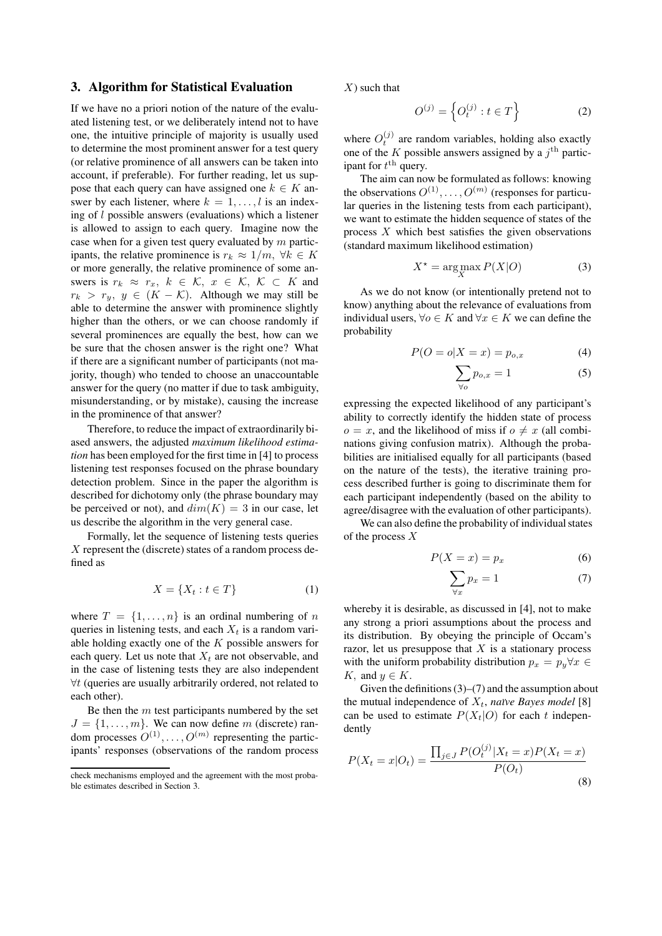#### **3. Algorithm for Statistical Evaluation**

If we have no a priori notion of the nature of the evaluated listening test, or we deliberately intend not to have one, the intuitive principle of majority is usually used to determine the most prominent answer for a test query (or relative prominence of all answers can be taken into account, if preferable). For further reading, let us suppose that each query can have assigned one  $k \in K$  answer by each listener, where  $k = 1, \ldots, l$  is an indexing of l possible answers (evaluations) which a listener is allowed to assign to each query. Imagine now the case when for a given test query evaluated by  $m$  participants, the relative prominence is  $r_k \approx 1/m$ ,  $\forall k \in K$ or more generally, the relative prominence of some answers is  $r_k \approx r_x$ ,  $k \in \mathcal{K}$ ,  $x \in \mathcal{K}$ ,  $\mathcal{K} \subset K$  and  $r_k > r_y$ ,  $y \in (K - K)$ . Although we may still be able to determine the answer with prominence slightly higher than the others, or we can choose randomly if several prominences are equally the best, how can we be sure that the chosen answer is the right one? What if there are a significant number of participants (not majority, though) who tended to choose an unaccountable answer for the query (no matter if due to task ambiguity, misunderstanding, or by mistake), causing the increase in the prominence of that answer?

Therefore, to reduce the impact of extraordinarily biased answers, the adjusted *maximum likelihood estimation* has been employed for the first time in [4] to process listening test responses focused on the phrase boundary detection problem. Since in the paper the algorithm is described for dichotomy only (the phrase boundary may be perceived or not), and  $dim(K) = 3$  in our case, let us describe the algorithm in the very general case.

Formally, let the sequence of listening tests queries  $X$  represent the (discrete) states of a random process defined as

$$
X = \{X_t : t \in T\}
$$
 (1)

where  $T = \{1, \ldots, n\}$  is an ordinal numbering of n queries in listening tests, and each  $X_t$  is a random variable holding exactly one of the  $K$  possible answers for each query. Let us note that  $X_t$  are not observable, and in the case of listening tests they are also independent ∀t (queries are usually arbitrarily ordered, not related to each other).

Be then the  $m$  test participants numbered by the set  $J = \{1, \ldots, m\}$ . We can now define m (discrete) random processes  $O^{(1)}, \ldots, O^{(m)}$  representing the participants' responses (observations of the random process

 $X$ ) such that

$$
O^{(j)} = \left\{ O_t^{(j)} : t \in T \right\} \tag{2}
$$

where  $O_t^{(j)}$  are random variables, holding also exactly one of the K possible answers assigned by a  $j<sup>th</sup>$  participant for  $t^{\text{th}}$  query.

The aim can now be formulated as follows: knowing the observations  $O^{(1)}, \ldots, O^{(m)}$  (responses for particular queries in the listening tests from each participant), we want to estimate the hidden sequence of states of the process  $X$  which best satisfies the given observations (standard maximum likelihood estimation)

$$
X^* = \arg\max_{X} P(X|O)
$$
 (3)

As we do not know (or intentionally pretend not to know) anything about the relevance of evaluations from individual users,  $\forall o \in K$  and  $\forall x \in K$  we can define the probability

$$
P(O = o|X = x) = p_{o,x} \tag{4}
$$

$$
\sum_{\forall o} p_{o,x} = 1 \tag{5}
$$

expressing the expected likelihood of any participant's ability to correctly identify the hidden state of process  $o = x$ , and the likelihood of miss if  $o \neq x$  (all combinations giving confusion matrix). Although the probabilities are initialised equally for all participants (based on the nature of the tests), the iterative training process described further is going to discriminate them for each participant independently (based on the ability to agree/disagree with the evaluation of other participants).

We can also define the probability of individual states of the process X

$$
P(X = x) = p_x \tag{6}
$$

$$
\sum_{\forall x} p_x = 1 \tag{7}
$$

whereby it is desirable, as discussed in [4], not to make any strong a priori assumptions about the process and its distribution. By obeying the principle of Occam's razor, let us presuppose that  $X$  is a stationary process with the uniform probability distribution  $p_x = p_y \forall x \in$ K, and  $y \in K$ .

Given the definitions  $(3)$ – $(7)$  and the assumption about the mutual independence of  $X_t$ , *naïve Bayes model* [8] can be used to estimate  $P(X_t|O)$  for each t independently

$$
P(X_t = x | O_t) = \frac{\prod_{j \in J} P(O_t^{(j)} | X_t = x) P(X_t = x)}{P(O_t)}
$$
\n(8)

check mechanisms employed and the agreement with the most probable estimates described in Section 3.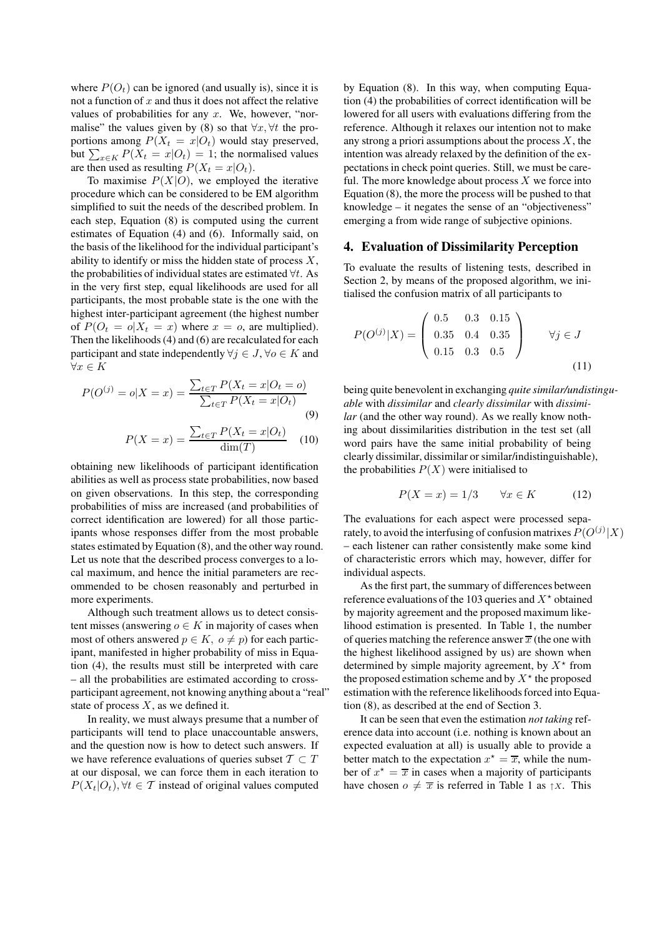where  $P(O_t)$  can be ignored (and usually is), since it is not a function of  $x$  and thus it does not affect the relative values of probabilities for any  $x$ . We, however, "normalise" the values given by (8) so that  $\forall x, \forall t$  the proportions among  $P(X_t = x|O_t)$  would stay preserved, but  $\sum_{x \in K} P(X_t = x | O_t) = 1$ ; the normalised values are then used as resulting  $P(X_t = x|O_t)$ .

To maximise  $P(X|O)$ , we employed the iterative procedure which can be considered to be EM algorithm simplified to suit the needs of the described problem. In each step, Equation (8) is computed using the current estimates of Equation (4) and (6). Informally said, on the basis of the likelihood for the individual participant's ability to identify or miss the hidden state of process  $X$ , the probabilities of individual states are estimated  $\forall t$ . As in the very first step, equal likelihoods are used for all participants, the most probable state is the one with the highest inter-participant agreement (the highest number of  $P(O_t = o | X_t = x)$  where  $x = o$ , are multiplied). Then the likelihoods (4) and (6) are recalculated for each participant and state independently  $\forall j \in J$ ,  $\forall o \in K$  and  $\forall x \in K$ 

$$
P(O^{(j)} = o|X = x) = \frac{\sum_{t \in T} P(X_t = x|O_t = o)}{\sum_{t \in T} P(X_t = x|O_t)}
$$
\n(9)

$$
P(X = x) = \frac{\sum_{t \in T} P(X_t = x | O_t)}{\dim(T)} \quad (10)
$$

obtaining new likelihoods of participant identification abilities as well as process state probabilities, now based on given observations. In this step, the corresponding probabilities of miss are increased (and probabilities of correct identification are lowered) for all those participants whose responses differ from the most probable states estimated by Equation (8), and the other way round. Let us note that the described process converges to a local maximum, and hence the initial parameters are recommended to be chosen reasonably and perturbed in more experiments.

Although such treatment allows us to detect consistent misses (answering  $o \in K$  in majority of cases when most of others answered  $p \in K$ ,  $o \neq p$ ) for each participant, manifested in higher probability of miss in Equation (4), the results must still be interpreted with care – all the probabilities are estimated according to crossparticipant agreement, not knowing anything about a "real" state of process  $X$ , as we defined it.

In reality, we must always presume that a number of participants will tend to place unaccountable answers, and the question now is how to detect such answers. If we have reference evaluations of queries subset  $T \subset T$ at our disposal, we can force them in each iteration to  $P(X_t|O_t)$ ,  $\forall t \in \mathcal{T}$  instead of original values computed by Equation (8). In this way, when computing Equation (4) the probabilities of correct identification will be lowered for all users with evaluations differing from the reference. Although it relaxes our intention not to make any strong a priori assumptions about the process  $X$ , the intention was already relaxed by the definition of the expectations in check point queries. Still, we must be careful. The more knowledge about process  $X$  we force into Equation (8), the more the process will be pushed to that knowledge – it negates the sense of an "objectiveness" emerging a from wide range of subjective opinions.

#### **4. Evaluation of Dissimilarity Perception**

To evaluate the results of listening tests, described in Section 2, by means of the proposed algorithm, we initialised the confusion matrix of all participants to

$$
P(O^{(j)}|X) = \begin{pmatrix} 0.5 & 0.3 & 0.15 \\ 0.35 & 0.4 & 0.35 \\ 0.15 & 0.3 & 0.5 \end{pmatrix} \qquad \forall j \in J
$$
(11)

being quite benevolent in exchanging *quite similar/undistinguable* with *dissimilar* and *clearly dissimilar* with *dissimilar* (and the other way round). As we really know nothing about dissimilarities distribution in the test set (all word pairs have the same initial probability of being clearly dissimilar, dissimilar or similar/indistinguishable), the probabilities  $P(X)$  were initialised to

$$
P(X = x) = 1/3 \qquad \forall x \in K \tag{12}
$$

The evaluations for each aspect were processed separately, to avoid the interfusing of confusion matrixes  $P(O^{(j)}|X)$ – each listener can rather consistently make some kind of characteristic errors which may, however, differ for individual aspects.

As the first part, the summary of differences between reference evaluations of the 103 queries and  $X^*$  obtained by majority agreement and the proposed maximum likelihood estimation is presented. In Table 1, the number of queries matching the reference answer  $\overline{x}$  (the one with the highest likelihood assigned by us) are shown when determined by simple majority agreement, by  $X^*$  from the proposed estimation scheme and by  $X^*$  the proposed estimation with the reference likelihoods forced into Equation (8), as described at the end of Section 3.

It can be seen that even the estimation *not taking* reference data into account (i.e. nothing is known about an expected evaluation at all) is usually able to provide a better match to the expectation  $x^* = \overline{x}$ , while the number of  $x^* = \overline{x}$  in cases when a majority of participants have chosen  $o \neq \overline{x}$  is referred in Table 1 as  $\uparrow x$ . This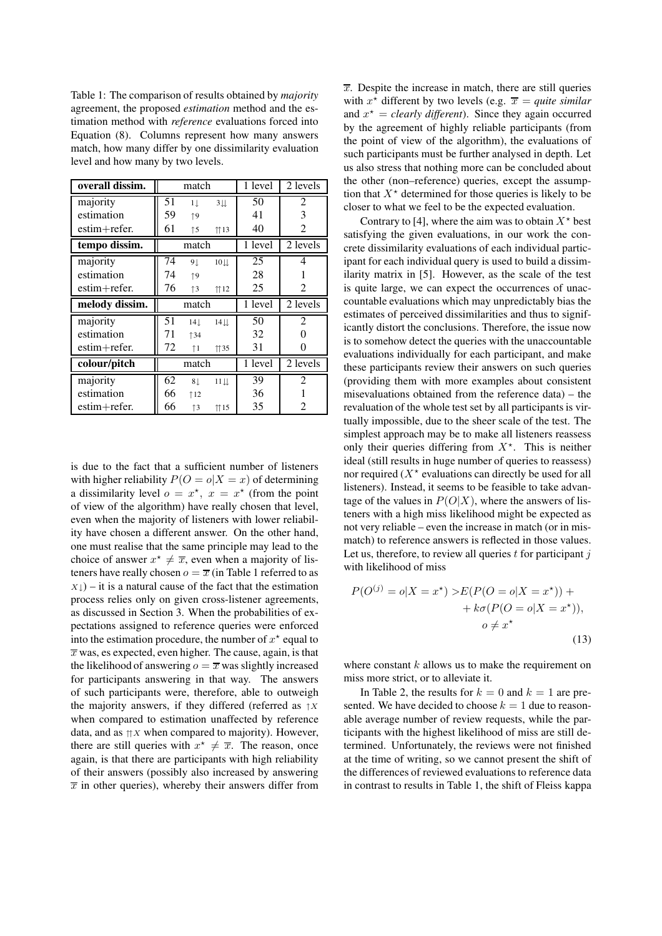Table 1: The comparison of results obtained by *majority* agreement, the proposed *estimation* method and the estimation method with *reference* evaluations forced into Equation (8). Columns represent how many answers match, how many differ by one dissimilarity evaluation level and how many by two levels.

| overall dissim.  | match |              | 1 level        | 2 levels |                             |
|------------------|-------|--------------|----------------|----------|-----------------------------|
| majority         | 51    | $1 \perp$    | 3 <sub>1</sub> | 50       | $\overline{2}$              |
| estimation       | 59    | $\uparrow$ 9 |                | 41       | 3                           |
| $estim + refer.$ | 61    | $\uparrow$ 5 | 113            | 40       | 2                           |
| tempo dissim.    | match |              | 1 level        | 2 levels |                             |
| majority         | 74    | 91           | $10$ $\perp$   | 25       | 4                           |
| estimation       | 74    | $\uparrow$ 9 |                | 28       |                             |
| $estim+refer.$   | 76    | $\uparrow$ 3 | 112            | 25       | $\mathcal{D}_{\mathcal{L}}$ |
|                  | match |              |                |          |                             |
| melody dissim.   |       |              |                | 1 level  | 2 levels                    |
| majority         | 51    | $14+$        | $14$           | 50       | $\overline{c}$              |
| estimation       | 71    | 134          |                | 32       |                             |
| $estim+refer.$   | 72    | $\uparrow$ 1 | 1135           | 31       | 0                           |
| colour/pitch     |       | match        |                | 1 level  | 2 levels                    |
| majority         | 62    | 8⊥           | $11 \perp$     | 39       | $\overline{c}$              |
| estimation       | 66    | 112          |                | 36       |                             |

is due to the fact that a sufficient number of listeners with higher reliability  $P(O = o|X = x)$  of determining a dissimilarity level  $o = x^*$ ,  $x = x^*$  (from the point of view of the algorithm) have really chosen that level, even when the majority of listeners with lower reliability have chosen a different answer. On the other hand, one must realise that the same principle may lead to the choice of answer  $x^* \neq \overline{x}$ , even when a majority of listeners have really chosen  $o = \overline{x}$  (in Table 1 referred to as  $X\downarrow$ ) – it is a natural cause of the fact that the estimation process relies only on given cross-listener agreements, as discussed in Section 3. When the probabilities of expectations assigned to reference queries were enforced into the estimation procedure, the number of  $x^*$  equal to  $\overline{x}$  was, es expected, even higher. The cause, again, is that the likelihood of answering  $o = \overline{x}$  was slightly increased for participants answering in that way. The answers of such participants were, therefore, able to outweigh the majority answers, if they differed (referred as  $\uparrow X$ when compared to estimation unaffected by reference data, and as  $\Uparrow X$  when compared to majority). However, there are still queries with  $x^* \neq \overline{x}$ . The reason, once again, is that there are participants with high reliability of their answers (possibly also increased by answering  $\overline{x}$  in other queries), whereby their answers differ from  $\overline{x}$ . Despite the increase in match, there are still queries with  $x^*$  different by two levels (e.g.  $\overline{x} = quite similar$ and  $x^* =$  *clearly different*). Since they again occurred by the agreement of highly reliable participants (from the point of view of the algorithm), the evaluations of such participants must be further analysed in depth. Let us also stress that nothing more can be concluded about the other (non–reference) queries, except the assumption that  $X^*$  determined for those queries is likely to be closer to what we feel to be the expected evaluation.

Contrary to [4], where the aim was to obtain  $X^*$  best satisfying the given evaluations, in our work the concrete dissimilarity evaluations of each individual participant for each individual query is used to build a dissimilarity matrix in [5]. However, as the scale of the test is quite large, we can expect the occurrences of unaccountable evaluations which may unpredictably bias the estimates of perceived dissimilarities and thus to significantly distort the conclusions. Therefore, the issue now is to somehow detect the queries with the unaccountable evaluations individually for each participant, and make these participants review their answers on such queries (providing them with more examples about consistent misevaluations obtained from the reference data) – the revaluation of the whole test set by all participants is virtually impossible, due to the sheer scale of the test. The simplest approach may be to make all listeners reassess only their queries differing from  $X^*$ . This is neither ideal (still results in huge number of queries to reassess) nor required  $(X^*$  evaluations can directly be used for all listeners). Instead, it seems to be feasible to take advantage of the values in  $P(O|X)$ , where the answers of listeners with a high miss likelihood might be expected as not very reliable – even the increase in match (or in mismatch) to reference answers is reflected in those values. Let us, therefore, to review all queries  $t$  for participant  $j$ with likelihood of miss

$$
P(O^{(j)} = o|X = x^*) \ge E(P(O = o|X = x^*)) +
$$
  
+  $k\sigma(P(O = o|X = x^*))$ ,  
 $o \ne x^*$  (13)

where constant  $k$  allows us to make the requirement on miss more strict, or to alleviate it.

In Table 2, the results for  $k = 0$  and  $k = 1$  are presented. We have decided to choose  $k = 1$  due to reasonable average number of review requests, while the participants with the highest likelihood of miss are still determined. Unfortunately, the reviews were not finished at the time of writing, so we cannot present the shift of the differences of reviewed evaluations to reference data in contrast to results in Table 1, the shift of Fleiss kappa